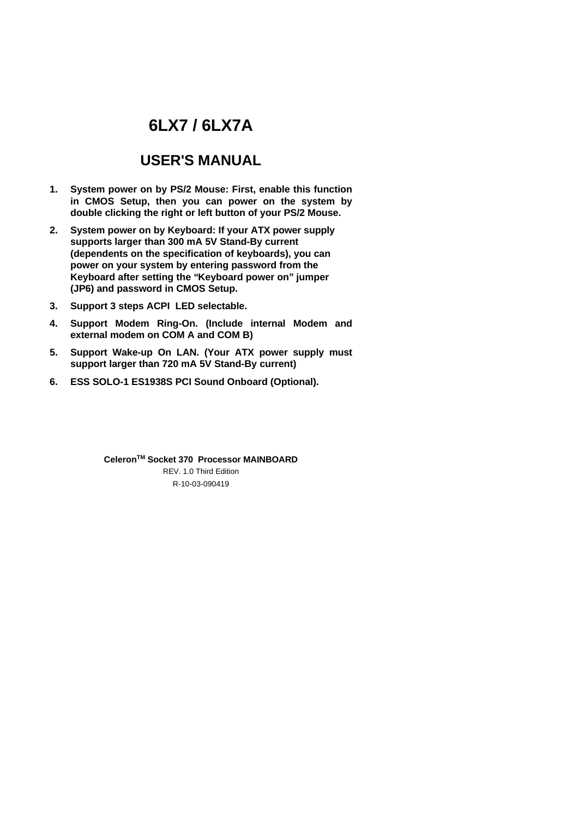# **6LX7 / 6LX7A**

## **USER'S MANUAL**

- **1. System power on by PS/2 Mouse: First, enable this function in CMOS Setup, then you can power on the system by double clicking the right or left button of your PS/2 Mouse.**
- **2. System power on by Keyboard: If your ATX power supply supports larger than 300 mA 5V Stand-By current (dependents on the specification of keyboards), you can power on your system by entering password from the Keyboard after setting the "Keyboard power on" jumper (JP6) and password in CMOS Setup.**
- **3. Support 3 steps ACPI LED selectable.**
- **4. Support Modem Ring-On. (Include internal Modem and external modem on COM A and COM B)**
- **5. Support Wake-up On LAN. (Your ATX power supply must support larger than 720 mA 5V Stand-By current)**
- **6. ESS SOLO-1 ES1938S PCI Sound Onboard (Optional).**

R-10-03-090419 **CeleronTM Socket 370 Processor MAINBOARD** REV. 1.0 Third Edition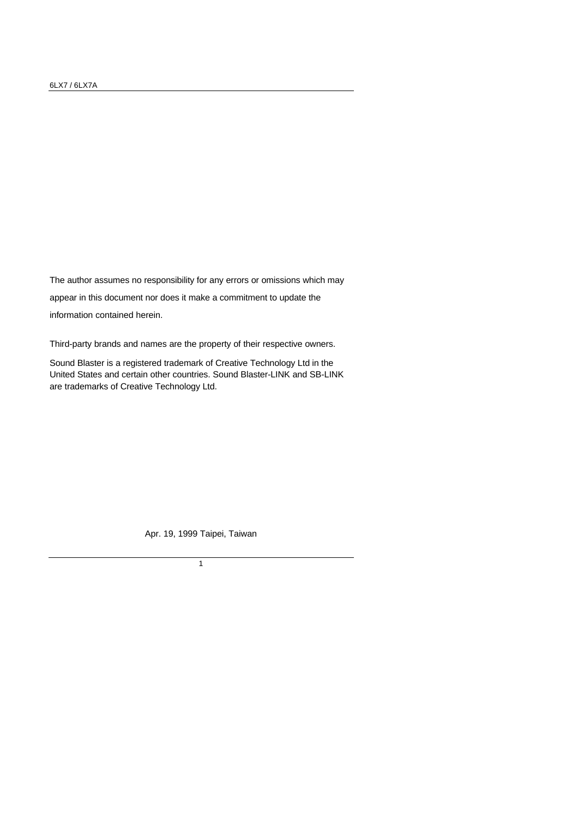The author assumes no responsibility for any errors or omissions which may appear in this document nor does it make a commitment to update the information contained herein.

Third-party brands and names are the property of their respective owners.

Sound Blaster is a registered trademark of Creative Technology Ltd in the United States and certain other countries. Sound Blaster-LINK and SB-LINK are trademarks of Creative Technology Ltd.

Apr. 19, 1999 Taipei, Taiwan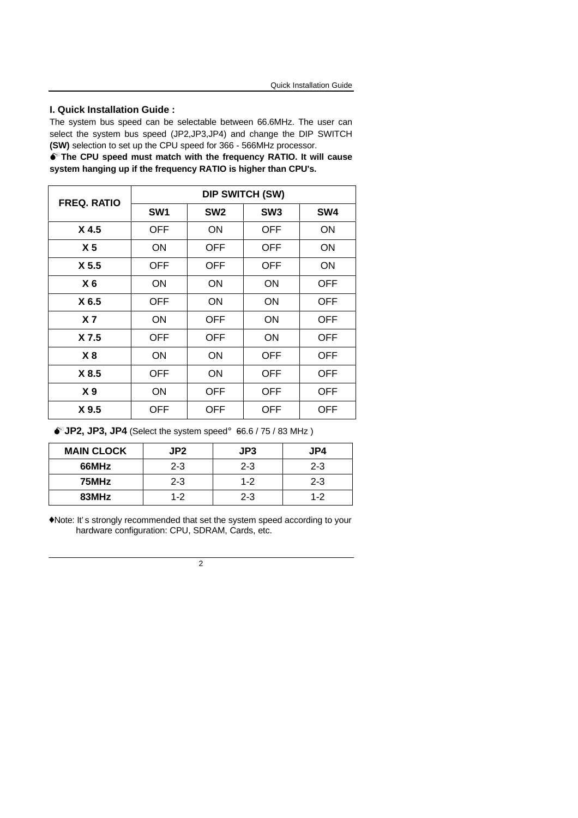#### **I. Quick Installation Guide :**

The system bus speed can be selectable between 66.6MHz. The user can select the system bus speed (JP2,JP3,JP4) and change the DIP SWITCH **(SW)** selection to set up the CPU speed for 366 - 566MHz processor.

 $\bullet$ <sup>\*</sup> The CPU speed must match with the frequency RATIO. It will cause **system hanging up if the frequency RATIO is higher than CPU's.**

| <b>FREQ. RATIO</b> | <b>DIP SWITCH (SW)</b> |                 |                 |            |  |
|--------------------|------------------------|-----------------|-----------------|------------|--|
|                    | SW <sub>1</sub>        | SW <sub>2</sub> | SW <sub>3</sub> | SW4        |  |
| X <sub>4.5</sub>   | <b>OFF</b>             | ON              | <b>OFF</b>      | ON         |  |
| X <sub>5</sub>     | ON                     | OFF.            | <b>OFF</b>      | ON         |  |
| X <sub>5.5</sub>   | <b>OFF</b>             | OFF.            | <b>OFF</b>      | ON         |  |
| X <sub>6</sub>     | ON                     | <b>ON</b>       | ON              | <b>OFF</b> |  |
| X 6.5              | <b>OFF</b>             | ON              | ON              | OFF        |  |
| X <sub>7</sub>     | ON                     | <b>OFF</b>      | ON              | OFF        |  |
| X 7.5              | <b>OFF</b>             | <b>OFF</b>      | ON              | OFF        |  |
| X8                 | ON                     | ON              | <b>OFF</b>      | <b>OFF</b> |  |
| X 8.5              | <b>OFF</b>             | ON              | <b>OFF</b>      | OFF        |  |
| X <sub>9</sub>     | ON                     | <b>OFF</b>      | <b>OFF</b>      | OFF        |  |
| X 9.5              | OFF                    | OFF             | <b>OFF</b>      | <b>OFF</b> |  |

 $\bullet$  JP2, JP3, JP4 (Select the system speed; 66.6 / 75 / 83 MHz)

| <b>MAIN CLOCK</b> | JP <sub>2</sub> | JP3     | JP4     |
|-------------------|-----------------|---------|---------|
| 66MHz             | $2 - 3$         | $2 - 3$ | $2 - 3$ |
| 75MHz             | $2 - 3$         | $1 - 2$ | $2 - 3$ |
| 83MHz             | $1 - 2$         | $2 - 3$ | $1 - 2$ |

 ♦Note: It' s strongly recommended that set the system speed according to your hardware configuration: CPU, SDRAM, Cards, etc.

 $\overline{2}$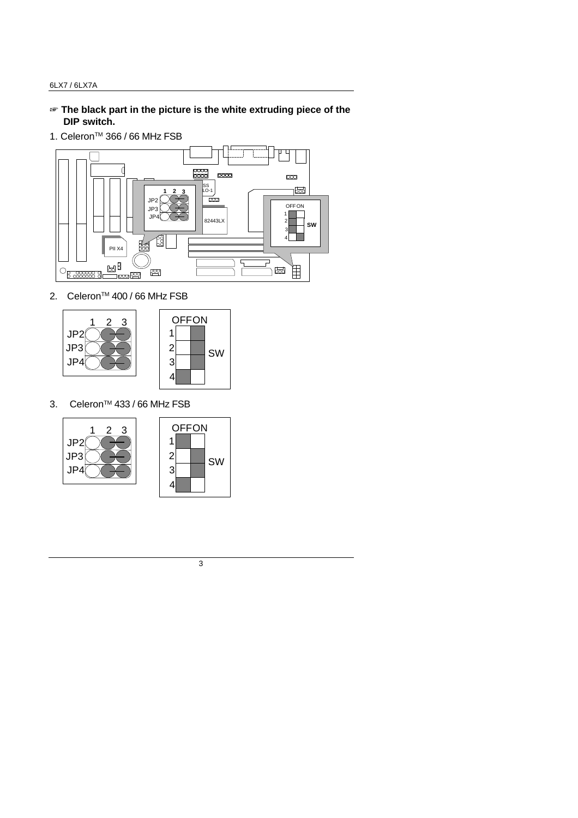- $\mathcal{F}$  The black part in the picture is the white extruding piece of the  **DIP switch.**
- 1. Celeron™ 366 / 66 MHz FSB



2. Celeron<sup>™</sup> 400 / 66 MHz FSB





3. Celeron<sup>™</sup> 433 / 66 MHz FSB





SW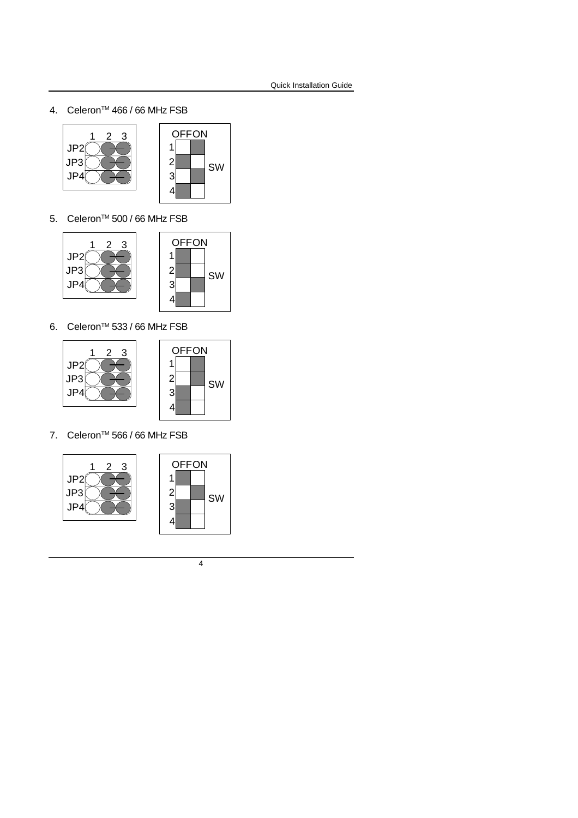4. Celeron™ 466 / 66 MHz FSB





5. Celeron<sup>™</sup> 500 / 66 MHz FSB



6. Celeron<sup>™</sup> 533 / 66 MHz FSB



7. Celeron<sup>™</sup> 566 / 66 MHz FSB





SW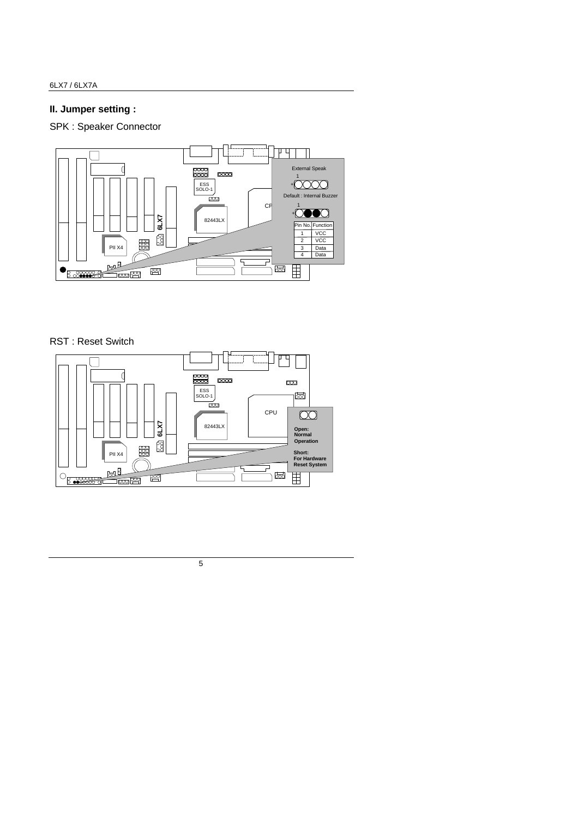### **II. Jumper setting :**

SPK : Speaker Connector



### RST : Reset Switch

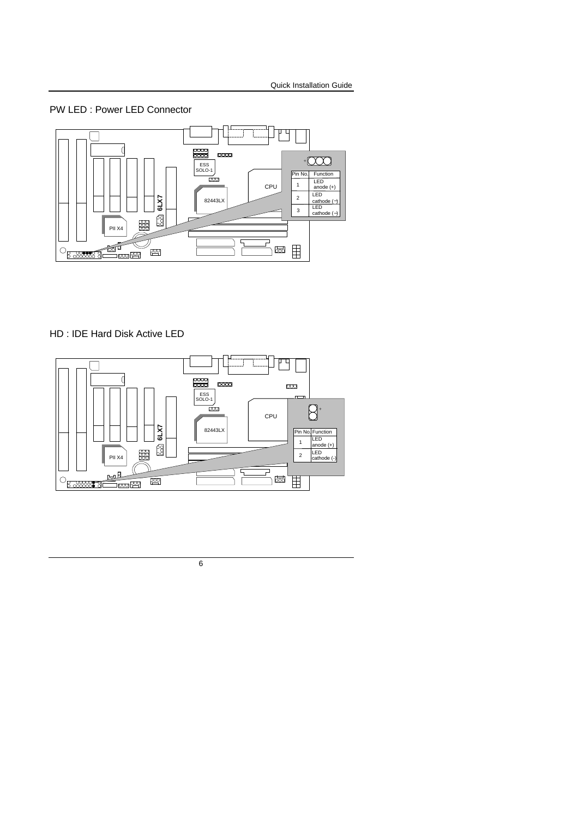PW LED : Power LED Connector



HD : IDE Hard Disk Active LED

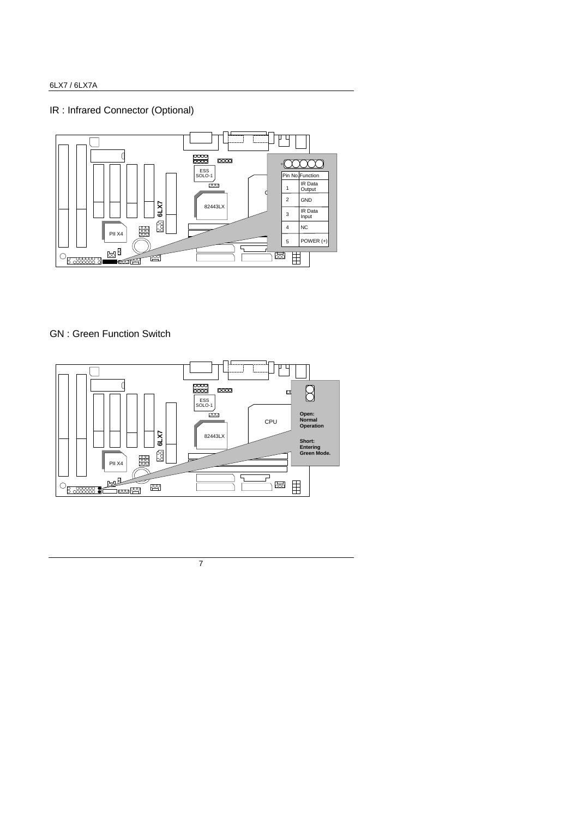### IR : Infrared Connector (Optional)



### GN : Green Function Switch

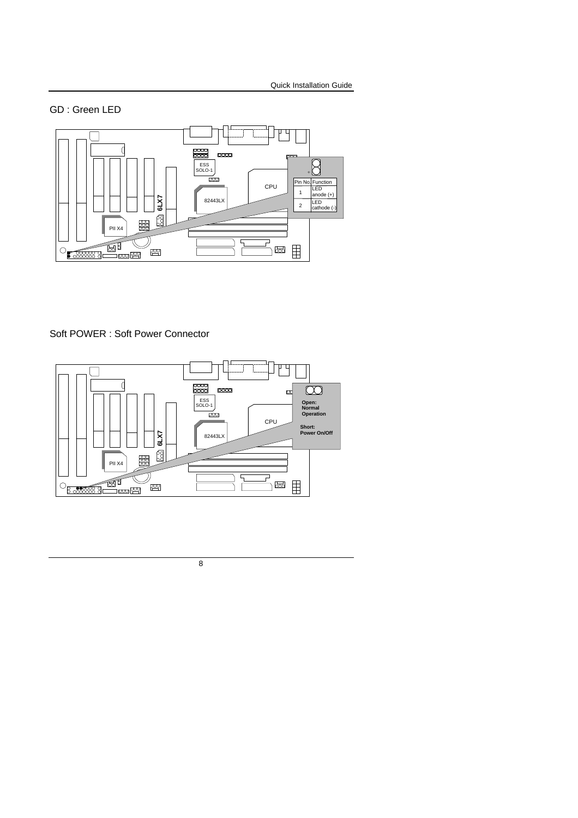GD : Green LED



Soft POWER : Soft Power Connector

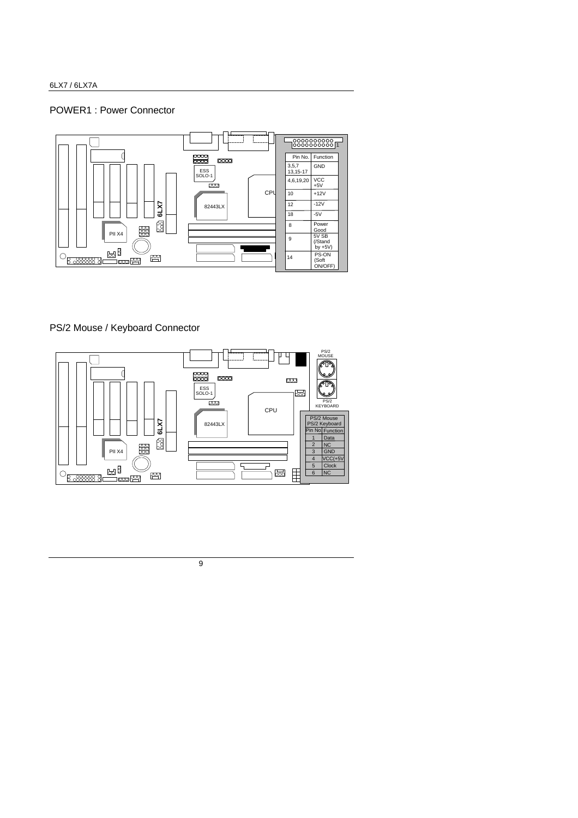### POWER1 : Power Connector



### PS/2 Mouse / Keyboard Connector

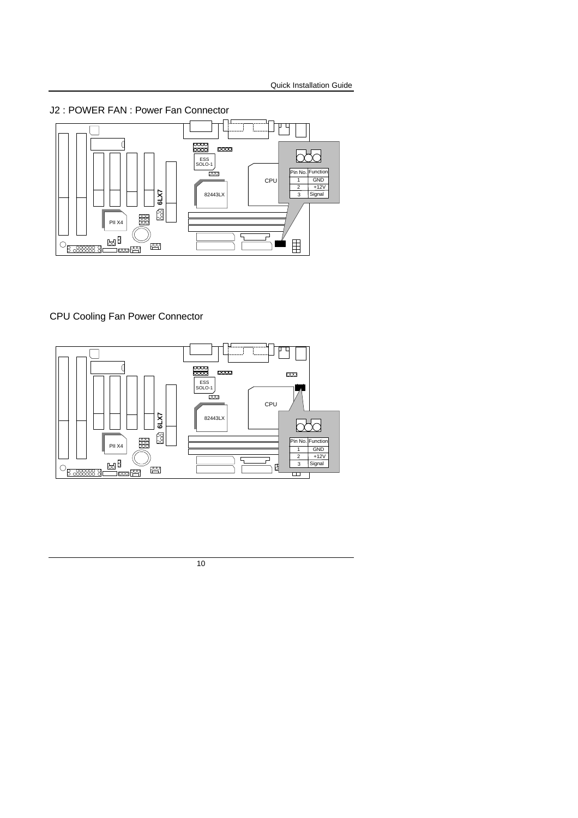



### CPU Cooling Fan Power Connector

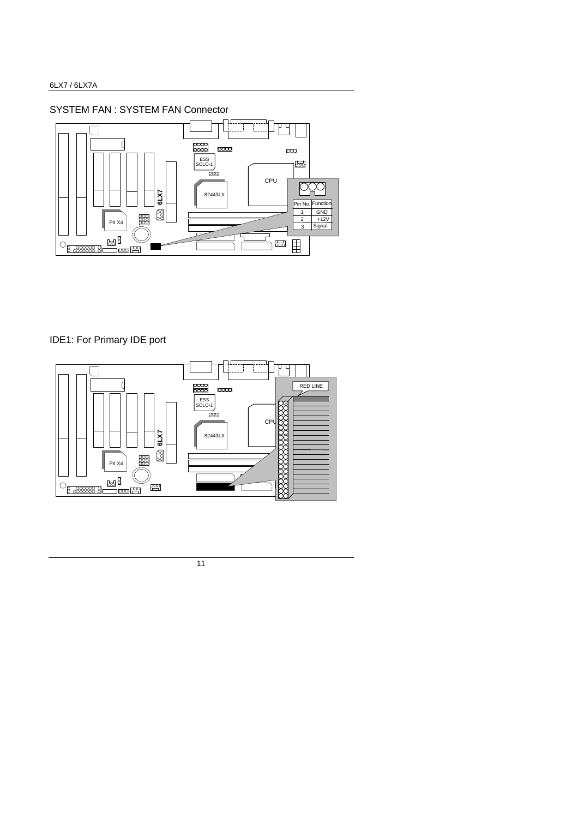SYSTEM FAN : SYSTEM FAN Connector



### IDE1: For Primary IDE port

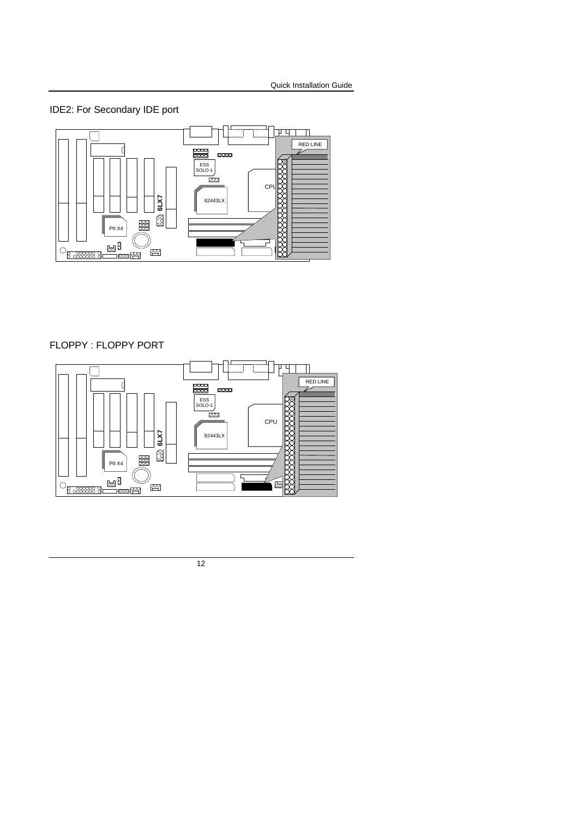IDE2: For Secondary IDE port



#### FLOPPY : FLOPPY PORT

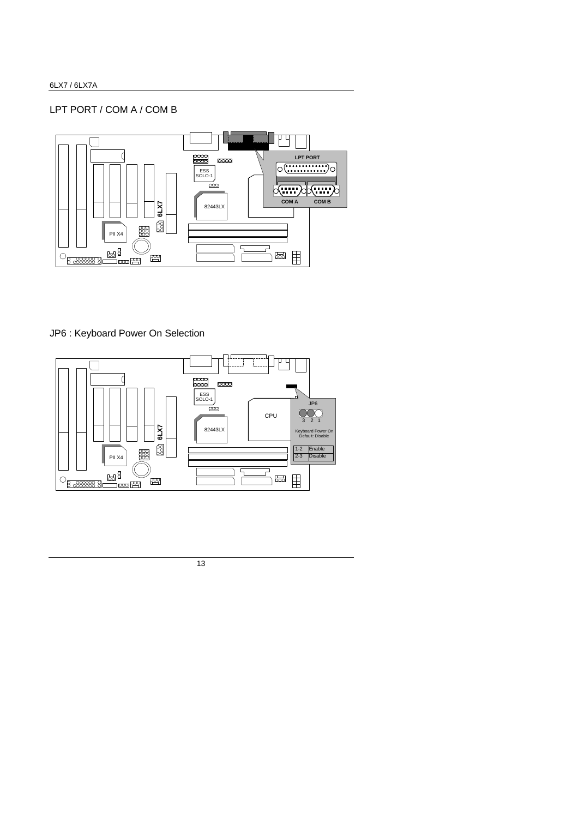### LPT PORT / COM A / COM B



### JP6 : Keyboard Power On Selection

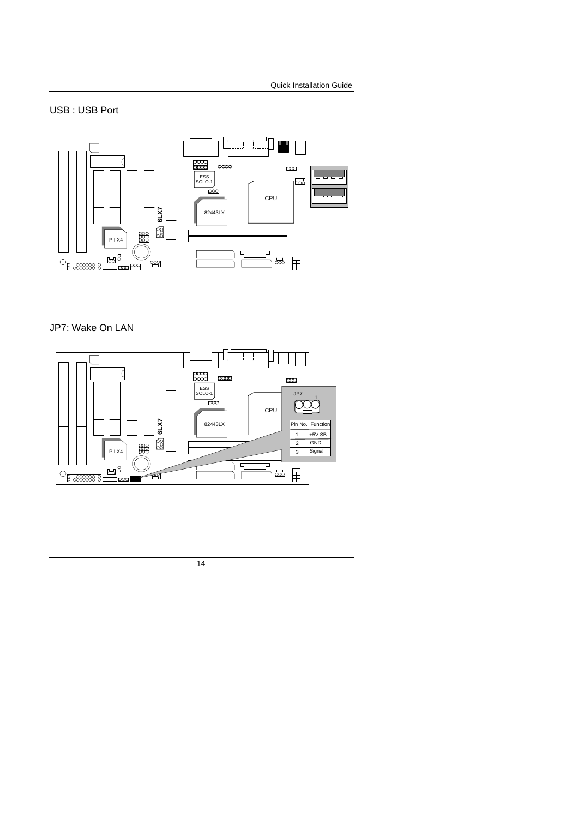### USB : USB Port



### JP7: Wake On LAN

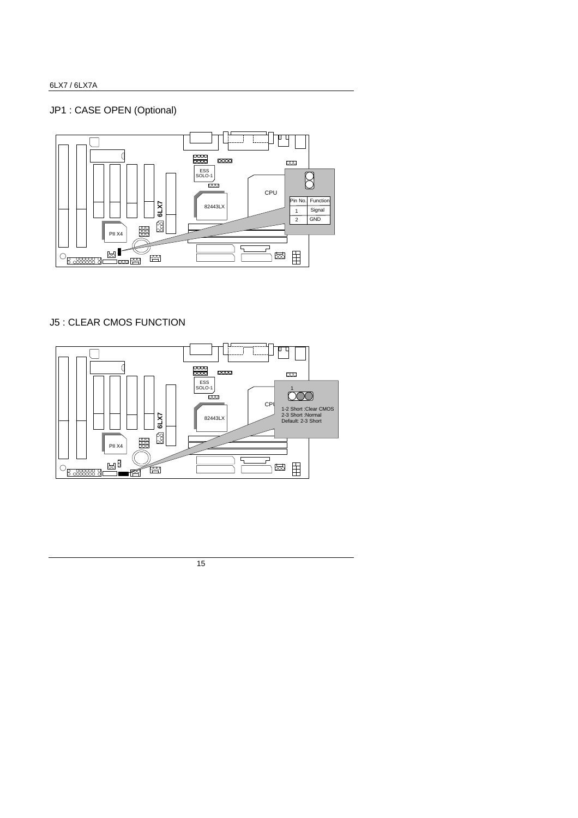### JP1 : CASE OPEN (Optional)



### J5 : CLEAR CMOS FUNCTION

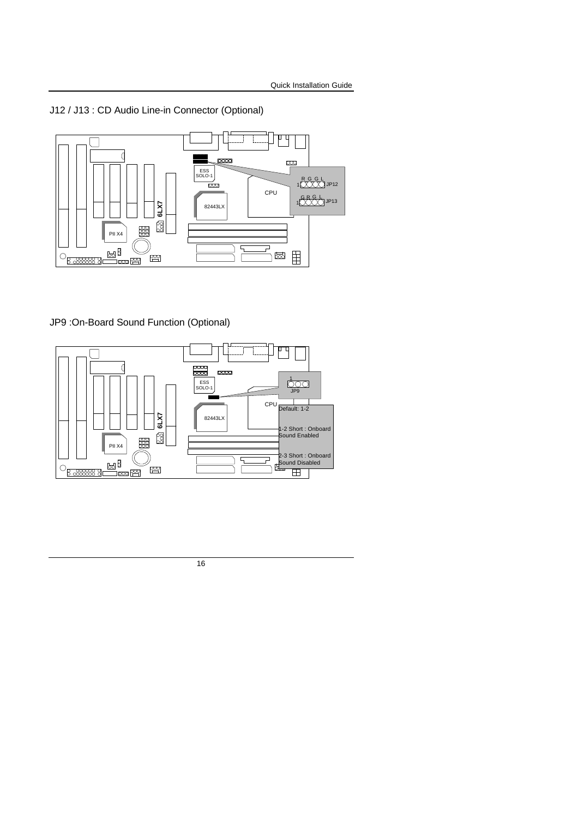J12 / J13 : CD Audio Line-in Connector (Optional)



### JP9 :On-Board Sound Function (Optional)

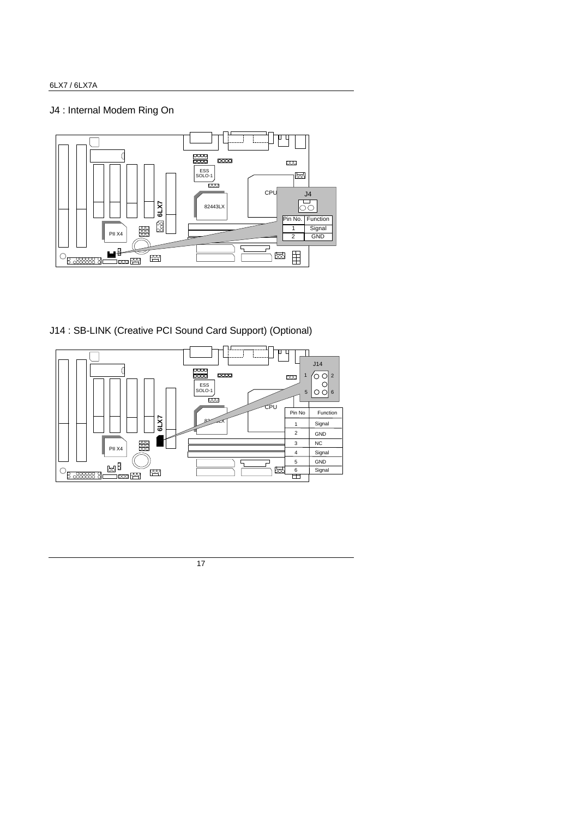### J4 : Internal Modem Ring On



J14 : SB-LINK (Creative PCI Sound Card Support) (Optional)

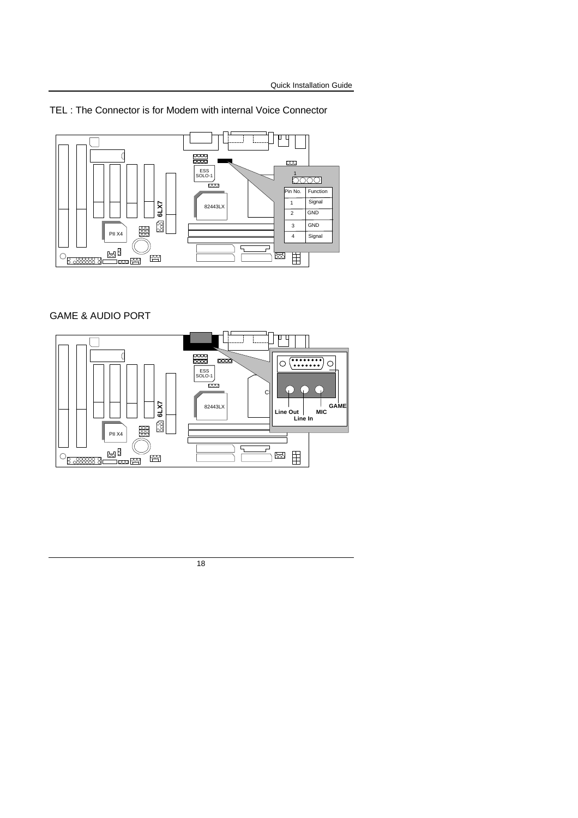TEL : The Connector is for Modem with internal Voice Connector



### GAME & AUDIO PORT

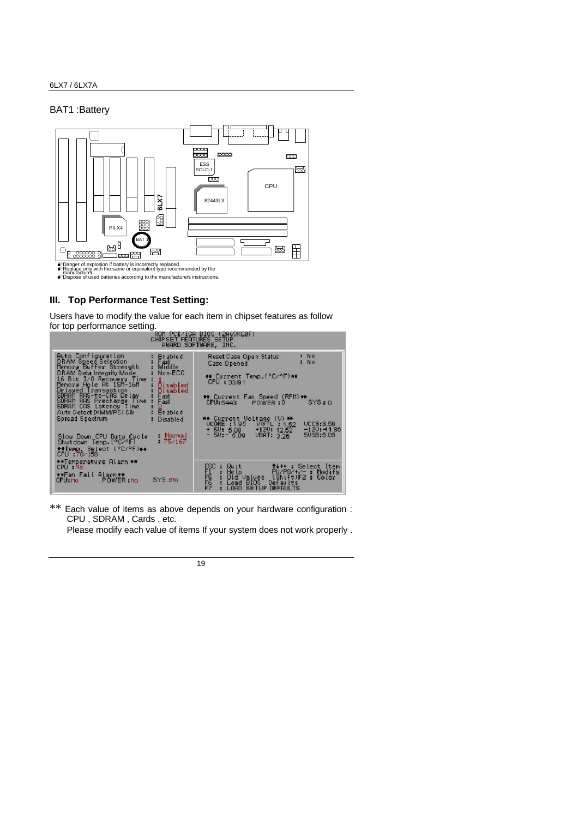#### BAT1 :Battery



turer.<br>of used batteries according to the manufacturers instructions.

#### **III. Top Performance Test Setting:**

Users have to modify the value for each item in chipset features as follow



\*\* Each value of items as above depends on your hardware configuration : CPU , SDRAM , Cards , etc.

Please modify each value of items If your system does not work properly .